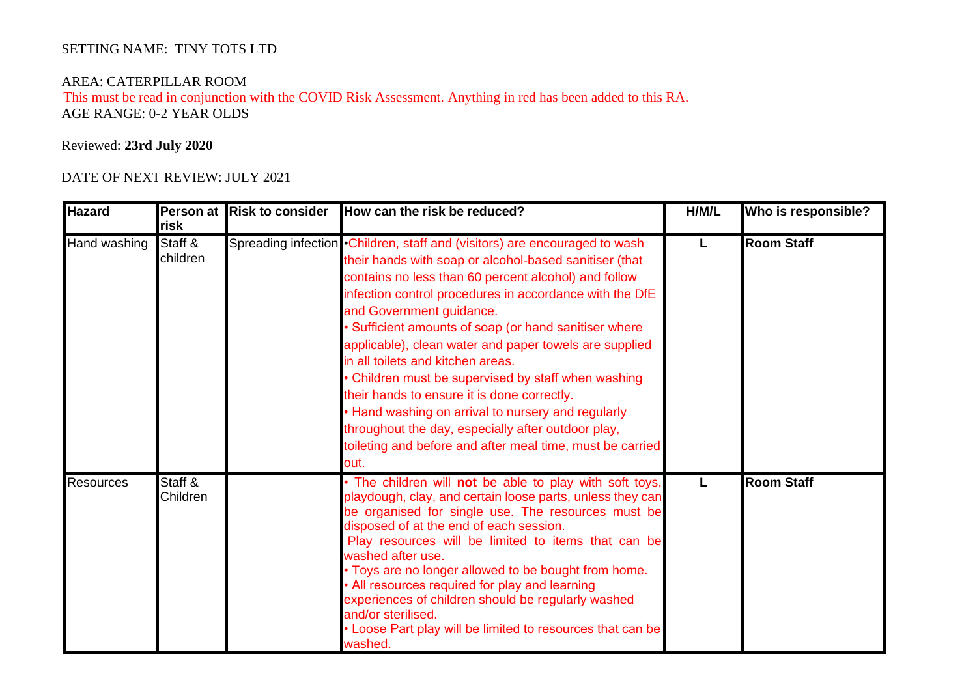## SETTING NAME: TINY TOTS LTD

## AREA: CATERPILLAR ROOM

 This must be read in conjunction with the COVID Risk Assessment. Anything in red has been added to this RA. AGE RANGE: 0-2 YEAR OLDS

## Reviewed: **23rd July 2020**

## DATE OF NEXT REVIEW: JULY 2021

| <b>Hazard</b>    | Person at<br>risk   | <b>Risk to consider</b> | How can the risk be reduced?                                                                                                                                                                                                                                                                                                                                                                                                                                                                                                                                                                                                                                                                                                        | H/M/L | Who is responsible? |
|------------------|---------------------|-------------------------|-------------------------------------------------------------------------------------------------------------------------------------------------------------------------------------------------------------------------------------------------------------------------------------------------------------------------------------------------------------------------------------------------------------------------------------------------------------------------------------------------------------------------------------------------------------------------------------------------------------------------------------------------------------------------------------------------------------------------------------|-------|---------------------|
| Hand washing     | Staff &<br>children |                         | Spreading infection • Children, staff and (visitors) are encouraged to wash<br>their hands with soap or alcohol-based sanitiser (that<br>contains no less than 60 percent alcohol) and follow<br>infection control procedures in accordance with the DfE<br>and Government guidance.<br>• Sufficient amounts of soap (or hand sanitiser where<br>applicable), clean water and paper towels are supplied<br>in all toilets and kitchen areas.<br>• Children must be supervised by staff when washing<br>their hands to ensure it is done correctly.<br>• Hand washing on arrival to nursery and regularly<br>throughout the day, especially after outdoor play,<br>toileting and before and after meal time, must be carried<br>out. | L     | <b>Room Staff</b>   |
| <b>Resources</b> | Staff &<br>Children |                         | . The children will not be able to play with soft toys,<br>playdough, clay, and certain loose parts, unless they can<br>be organised for single use. The resources must be<br>disposed of at the end of each session.<br>Play resources will be limited to items that can be<br>washed after use.<br>. Toys are no longer allowed to be bought from home.<br>• All resources required for play and learning<br>experiences of children should be regularly washed<br>and/or sterilised.<br>• Loose Part play will be limited to resources that can be<br>washed.                                                                                                                                                                    |       | <b>Room Staff</b>   |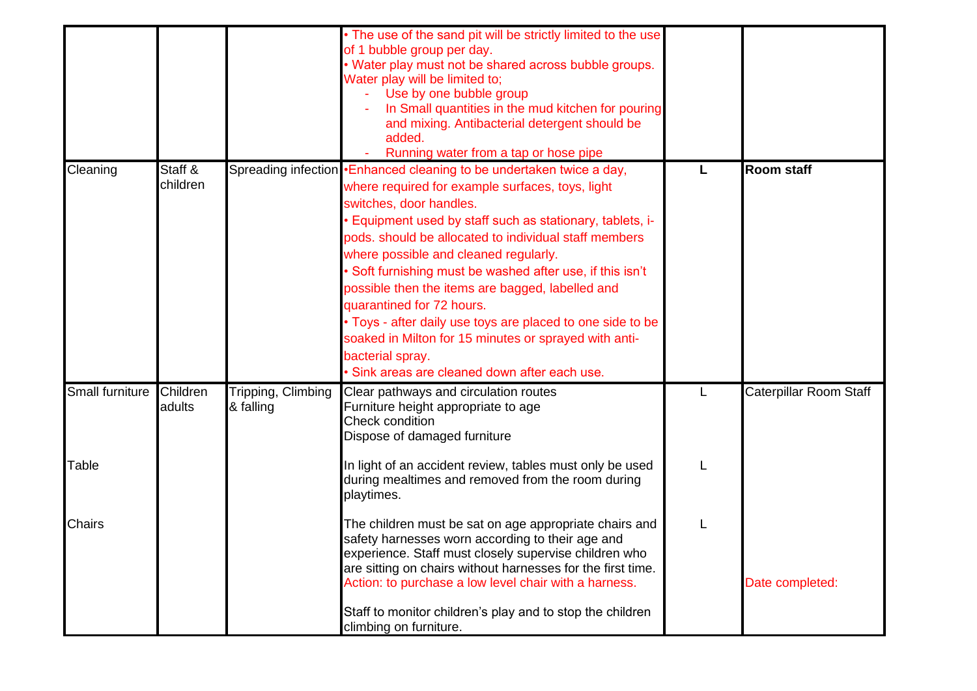|                 |                     |                                 | • The use of the sand pit will be strictly limited to the use<br>of 1 bubble group per day.<br>. Water play must not be shared across bubble groups.<br>Water play will be limited to;<br>Use by one bubble group<br>In Small quantities in the mud kitchen for pouring<br>and mixing. Antibacterial detergent should be<br>added.<br>Running water from a tap or hose pipe                                                                                                                                                                                                                                                                            |                        |
|-----------------|---------------------|---------------------------------|--------------------------------------------------------------------------------------------------------------------------------------------------------------------------------------------------------------------------------------------------------------------------------------------------------------------------------------------------------------------------------------------------------------------------------------------------------------------------------------------------------------------------------------------------------------------------------------------------------------------------------------------------------|------------------------|
| Cleaning        | Staff &<br>children |                                 | Spreading infection •Enhanced cleaning to be undertaken twice a day,<br>where required for example surfaces, toys, light<br>switches, door handles.<br>Equipment used by staff such as stationary, tablets, i-<br>pods. should be allocated to individual staff members<br>where possible and cleaned regularly.<br>Soft furnishing must be washed after use, if this isn't<br>possible then the items are bagged, labelled and<br>quarantined for 72 hours.<br>• Toys - after daily use toys are placed to one side to be<br>soaked in Milton for 15 minutes or sprayed with anti-<br>bacterial spray.<br>Sink areas are cleaned down after each use. | <b>Room staff</b>      |
| Small furniture | Children<br>adults  | Tripping, Climbing<br>& falling | Clear pathways and circulation routes<br>Furniture height appropriate to age<br>Check condition<br>Dispose of damaged furniture                                                                                                                                                                                                                                                                                                                                                                                                                                                                                                                        | Caterpillar Room Staff |
| Table           |                     |                                 | In light of an accident review, tables must only be used<br>during mealtimes and removed from the room during<br>playtimes.                                                                                                                                                                                                                                                                                                                                                                                                                                                                                                                            |                        |
| <b>Chairs</b>   |                     |                                 | The children must be sat on age appropriate chairs and<br>safety harnesses worn according to their age and<br>experience. Staff must closely supervise children who<br>are sitting on chairs without harnesses for the first time.<br>Action: to purchase a low level chair with a harness.<br>Staff to monitor children's play and to stop the children<br>climbing on furniture.                                                                                                                                                                                                                                                                     | Date completed:        |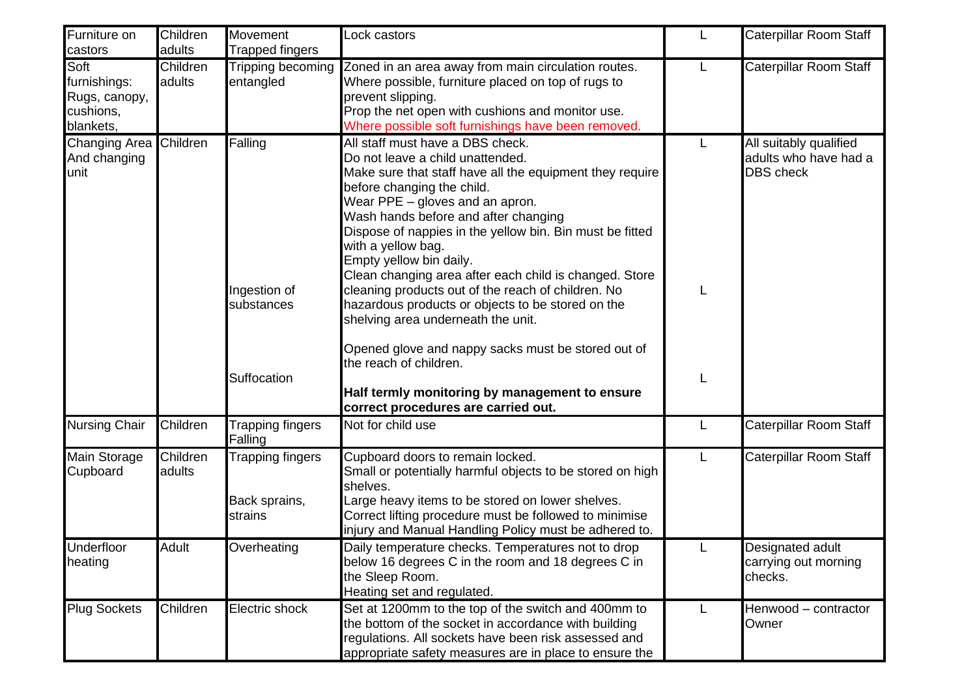| Furniture on<br>castors                                         | Children<br>adults | Movement<br><b>Trapped fingers</b>           | Lock castors                                                                                                                                                                                                                                                                                                                                                                                                                                                                                                                                                                                                                                      | L      | Caterpillar Room Staff                                              |
|-----------------------------------------------------------------|--------------------|----------------------------------------------|---------------------------------------------------------------------------------------------------------------------------------------------------------------------------------------------------------------------------------------------------------------------------------------------------------------------------------------------------------------------------------------------------------------------------------------------------------------------------------------------------------------------------------------------------------------------------------------------------------------------------------------------------|--------|---------------------------------------------------------------------|
| Soft<br>furnishings:<br>Rugs, canopy,<br>cushions,<br>blankets, | Children<br>adults | Tripping becoming<br>entangled               | Zoned in an area away from main circulation routes.<br>Where possible, furniture placed on top of rugs to<br>prevent slipping.<br>Prop the net open with cushions and monitor use.<br>Where possible soft furnishings have been removed.                                                                                                                                                                                                                                                                                                                                                                                                          | L      | Caterpillar Room Staff                                              |
| <b>Changing Area</b><br>And changing<br>unit                    | Children           | Falling<br>Ingestion of<br>substances        | All staff must have a DBS check.<br>Do not leave a child unattended.<br>Make sure that staff have all the equipment they require<br>before changing the child.<br>Wear PPE - gloves and an apron.<br>Wash hands before and after changing<br>Dispose of nappies in the yellow bin. Bin must be fitted<br>with a yellow bag.<br>Empty yellow bin daily.<br>Clean changing area after each child is changed. Store<br>cleaning products out of the reach of children. No<br>hazardous products or objects to be stored on the<br>shelving area underneath the unit.<br>Opened glove and nappy sacks must be stored out of<br>the reach of children. | L<br>L | All suitably qualified<br>adults who have had a<br><b>DBS</b> check |
|                                                                 |                    | Suffocation                                  | Half termly monitoring by management to ensure<br>correct procedures are carried out.                                                                                                                                                                                                                                                                                                                                                                                                                                                                                                                                                             | L      |                                                                     |
| <b>Nursing Chair</b>                                            | Children           | <b>Trapping fingers</b><br>Falling           | Not for child use                                                                                                                                                                                                                                                                                                                                                                                                                                                                                                                                                                                                                                 | L      | Caterpillar Room Staff                                              |
| Main Storage<br>Cupboard                                        | Children<br>adults | Trapping fingers<br>Back sprains,<br>strains | Cupboard doors to remain locked.<br>Small or potentially harmful objects to be stored on high<br>shelves.<br>Large heavy items to be stored on lower shelves.<br>Correct lifting procedure must be followed to minimise<br>injury and Manual Handling Policy must be adhered to.                                                                                                                                                                                                                                                                                                                                                                  | L      | Caterpillar Room Staff                                              |
| Underfloor<br>heating                                           | Adult              | Overheating                                  | Daily temperature checks. Temperatures not to drop<br>below 16 degrees C in the room and 18 degrees C in<br>the Sleep Room.<br>Heating set and regulated.                                                                                                                                                                                                                                                                                                                                                                                                                                                                                         | L.     | Designated adult<br>carrying out morning<br>checks.                 |
| <b>Plug Sockets</b>                                             | Children           | Electric shock                               | Set at 1200mm to the top of the switch and 400mm to<br>the bottom of the socket in accordance with building<br>regulations. All sockets have been risk assessed and<br>appropriate safety measures are in place to ensure the                                                                                                                                                                                                                                                                                                                                                                                                                     | L      | Henwood - contractor<br>Owner                                       |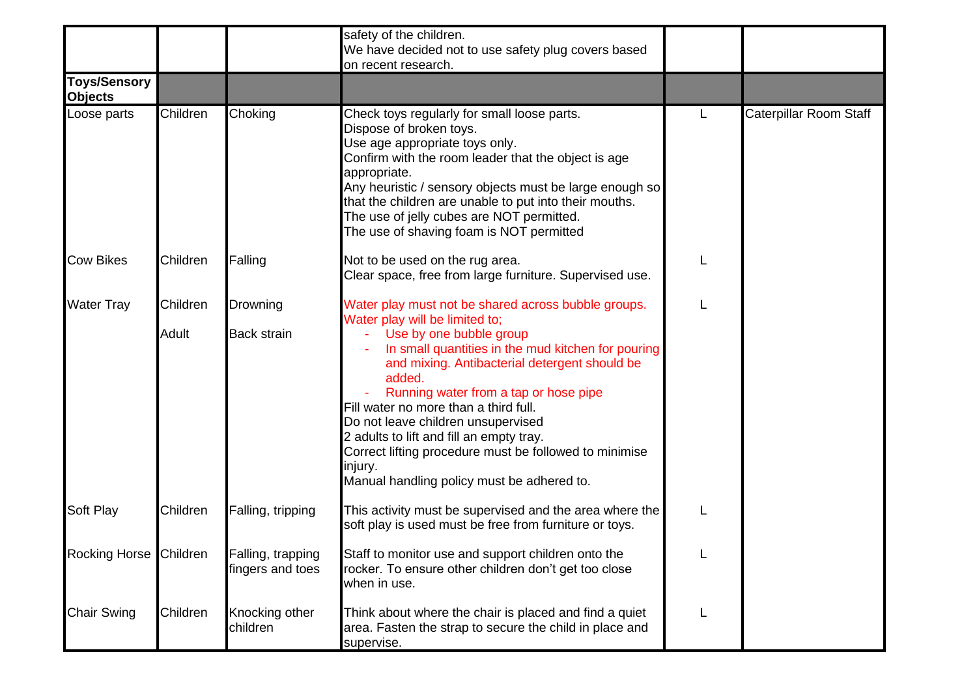|                                       |          |                                       | safety of the children.<br>We have decided not to use safety plug covers based<br>on recent research.                                                                                                                                                                                                                                                                                                                           |                        |
|---------------------------------------|----------|---------------------------------------|---------------------------------------------------------------------------------------------------------------------------------------------------------------------------------------------------------------------------------------------------------------------------------------------------------------------------------------------------------------------------------------------------------------------------------|------------------------|
| <b>Toys/Sensory</b><br><b>Objects</b> |          |                                       |                                                                                                                                                                                                                                                                                                                                                                                                                                 |                        |
| Loose parts                           | Children | Choking                               | Check toys regularly for small loose parts.<br>Dispose of broken toys.<br>Use age appropriate toys only.<br>Confirm with the room leader that the object is age<br>appropriate.<br>Any heuristic / sensory objects must be large enough so<br>that the children are unable to put into their mouths.<br>The use of jelly cubes are NOT permitted.<br>The use of shaving foam is NOT permitted                                   | Caterpillar Room Staff |
| <b>Cow Bikes</b>                      | Children | Falling                               | Not to be used on the rug area.<br>Clear space, free from large furniture. Supervised use.                                                                                                                                                                                                                                                                                                                                      |                        |
| <b>Water Tray</b>                     | Children | Drowning                              | Water play must not be shared across bubble groups.<br>Water play will be limited to;                                                                                                                                                                                                                                                                                                                                           |                        |
|                                       | Adult    | <b>Back strain</b>                    | Use by one bubble group<br>In small quantities in the mud kitchen for pouring<br>and mixing. Antibacterial detergent should be<br>added.<br>Running water from a tap or hose pipe<br>Fill water no more than a third full.<br>Do not leave children unsupervised<br>2 adults to lift and fill an empty tray.<br>Correct lifting procedure must be followed to minimise<br>injury.<br>Manual handling policy must be adhered to. |                        |
| <b>Soft Play</b>                      | Children | Falling, tripping                     | This activity must be supervised and the area where the<br>soft play is used must be free from furniture or toys.                                                                                                                                                                                                                                                                                                               |                        |
| <b>Rocking Horse</b>                  | Children | Falling, trapping<br>fingers and toes | Staff to monitor use and support children onto the<br>rocker. To ensure other children don't get too close<br>when in use.                                                                                                                                                                                                                                                                                                      |                        |
| <b>Chair Swing</b>                    | Children | Knocking other<br>children            | Think about where the chair is placed and find a quiet<br>area. Fasten the strap to secure the child in place and<br>supervise.                                                                                                                                                                                                                                                                                                 |                        |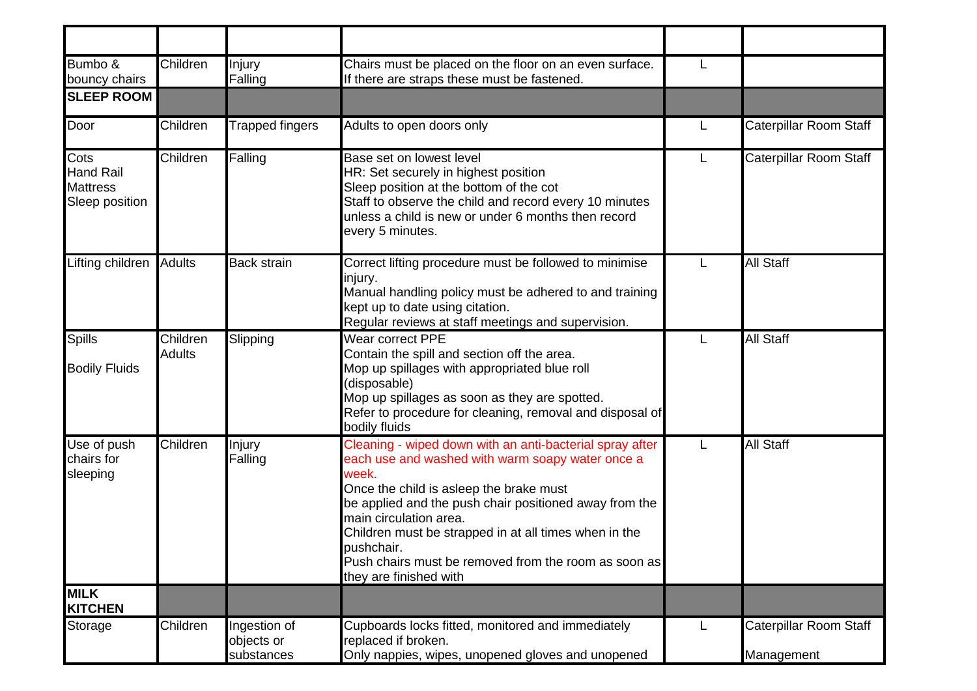| Bumbo &<br>bouncy chairs                                      | Children                  | Injury<br>Falling                        | Chairs must be placed on the floor on an even surface.<br>If there are straps these must be fastened.                                                                                                                                                                                                                                                                                                         | L |                                      |
|---------------------------------------------------------------|---------------------------|------------------------------------------|---------------------------------------------------------------------------------------------------------------------------------------------------------------------------------------------------------------------------------------------------------------------------------------------------------------------------------------------------------------------------------------------------------------|---|--------------------------------------|
| <b>SLEEP ROOM</b>                                             |                           |                                          |                                                                                                                                                                                                                                                                                                                                                                                                               |   |                                      |
| Door                                                          | Children                  | <b>Trapped fingers</b>                   | Adults to open doors only                                                                                                                                                                                                                                                                                                                                                                                     | L | Caterpillar Room Staff               |
| Cots<br><b>Hand Rail</b><br><b>Mattress</b><br>Sleep position | Children                  | Falling                                  | Base set on lowest level<br>HR: Set securely in highest position<br>Sleep position at the bottom of the cot<br>Staff to observe the child and record every 10 minutes<br>unless a child is new or under 6 months then record<br>every 5 minutes.                                                                                                                                                              | L | Caterpillar Room Staff               |
| Lifting children                                              | <b>Adults</b>             | <b>Back strain</b>                       | Correct lifting procedure must be followed to minimise<br>injury.<br>Manual handling policy must be adhered to and training<br>kept up to date using citation.<br>Regular reviews at staff meetings and supervision.                                                                                                                                                                                          | L | All Staff                            |
| <b>Spills</b><br><b>Bodily Fluids</b>                         | Children<br><b>Adults</b> | Slipping                                 | Wear correct PPE<br>Contain the spill and section off the area.<br>Mop up spillages with appropriated blue roll<br>(disposable)<br>Mop up spillages as soon as they are spotted.<br>Refer to procedure for cleaning, removal and disposal of<br>bodily fluids                                                                                                                                                 |   | All Staff                            |
| Use of push<br>chairs for<br>sleeping<br><b>MILK</b>          | Children                  | Injury<br>Falling                        | Cleaning - wiped down with an anti-bacterial spray after<br>each use and washed with warm soapy water once a<br>week.<br>Once the child is asleep the brake must<br>be applied and the push chair positioned away from the<br>main circulation area.<br>Children must be strapped in at all times when in the<br>pushchair.<br>Push chairs must be removed from the room as soon as<br>they are finished with | L | All Staff                            |
| <b>KITCHEN</b>                                                |                           |                                          |                                                                                                                                                                                                                                                                                                                                                                                                               |   |                                      |
| Storage                                                       | Children                  | Ingestion of<br>objects or<br>substances | Cupboards locks fitted, monitored and immediately<br>replaced if broken.<br>Only nappies, wipes, unopened gloves and unopened                                                                                                                                                                                                                                                                                 | L | Caterpillar Room Staff<br>Management |